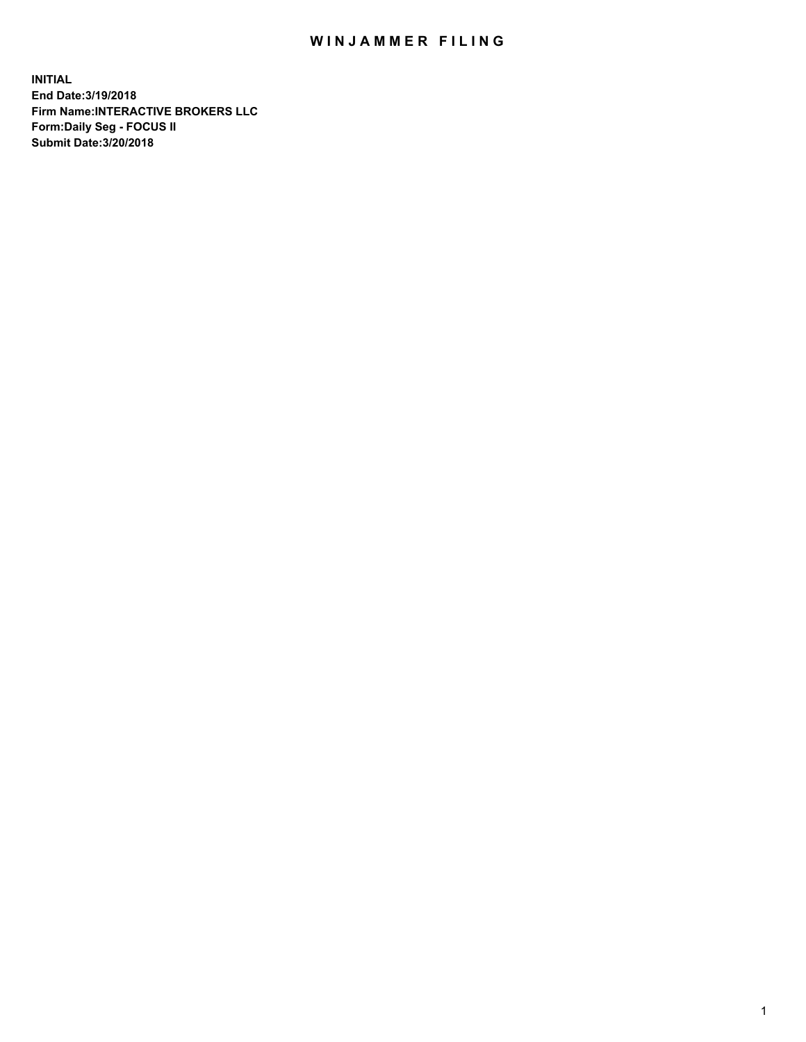## WIN JAMMER FILING

**INITIAL End Date:3/19/2018 Firm Name:INTERACTIVE BROKERS LLC Form:Daily Seg - FOCUS II Submit Date:3/20/2018**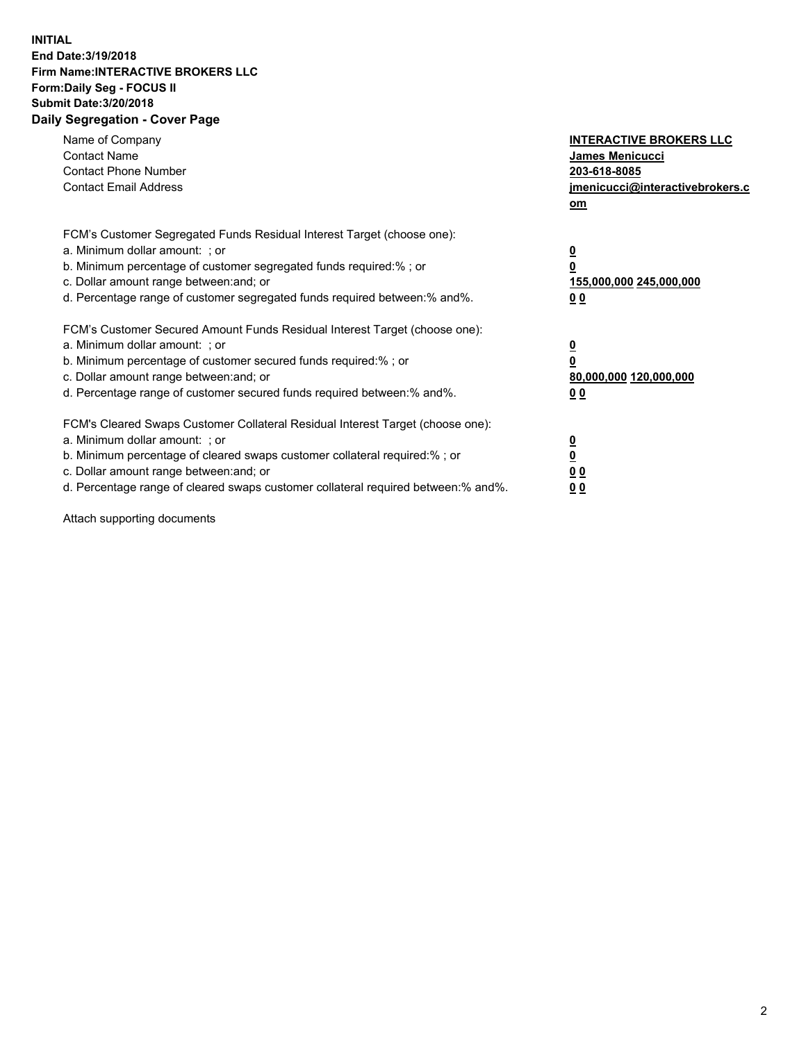## **INITIAL End Date:3/19/2018 Firm Name:INTERACTIVE BROKERS LLC Form:Daily Seg - FOCUS II Submit Date:3/20/2018 Daily Segregation - Cover Page**

| Name of Company<br><b>Contact Name</b><br><b>Contact Phone Number</b><br><b>Contact Email Address</b>                                                                                                                                                                                                                          | <b>INTERACTIVE BROKERS LLC</b><br>James Menicucci<br>203-618-8085<br>jmenicucci@interactivebrokers.c<br>om |
|--------------------------------------------------------------------------------------------------------------------------------------------------------------------------------------------------------------------------------------------------------------------------------------------------------------------------------|------------------------------------------------------------------------------------------------------------|
| FCM's Customer Segregated Funds Residual Interest Target (choose one):<br>a. Minimum dollar amount: ; or<br>b. Minimum percentage of customer segregated funds required:%; or<br>c. Dollar amount range between: and; or<br>d. Percentage range of customer segregated funds required between:% and%.                          | $\overline{\mathbf{0}}$<br>0<br>155,000,000 245,000,000<br>0 <sub>0</sub>                                  |
| FCM's Customer Secured Amount Funds Residual Interest Target (choose one):<br>a. Minimum dollar amount: ; or<br>b. Minimum percentage of customer secured funds required:%; or<br>c. Dollar amount range between: and; or<br>d. Percentage range of customer secured funds required between:% and%.                            | $\overline{\mathbf{0}}$<br>$\overline{\mathbf{0}}$<br>80,000,000 120,000,000<br>00                         |
| FCM's Cleared Swaps Customer Collateral Residual Interest Target (choose one):<br>a. Minimum dollar amount: ; or<br>b. Minimum percentage of cleared swaps customer collateral required:% ; or<br>c. Dollar amount range between: and; or<br>d. Percentage range of cleared swaps customer collateral required between:% and%. | $\overline{\mathbf{0}}$<br>$\overline{\mathbf{0}}$<br>0 <sub>0</sub><br><u>00</u>                          |

Attach supporting documents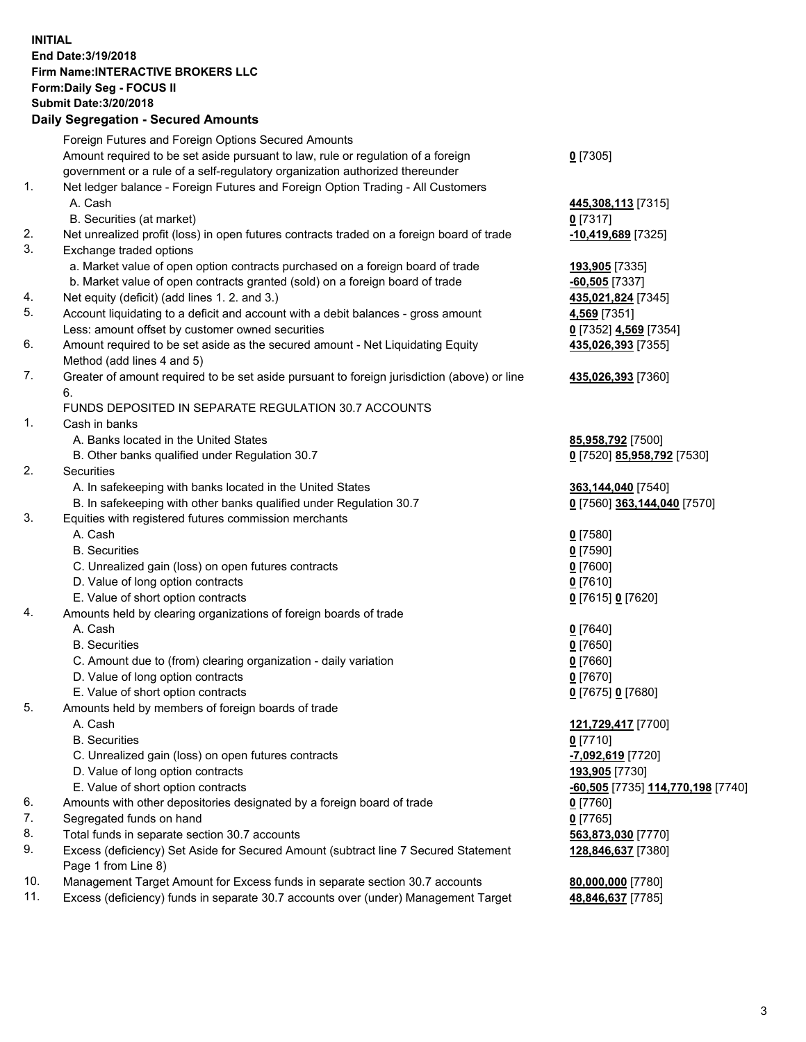## **INITIAL End Date:3/19/2018 Firm Name:INTERACTIVE BROKERS LLC Form:Daily Seg - FOCUS II Submit Date:3/20/2018 Daily Segregation - Secured Amounts**

|                | Daily Segregation - Secured Amounts                                                                        |                                   |
|----------------|------------------------------------------------------------------------------------------------------------|-----------------------------------|
|                | Foreign Futures and Foreign Options Secured Amounts                                                        |                                   |
|                | Amount required to be set aside pursuant to law, rule or regulation of a foreign                           | $0$ [7305]                        |
|                | government or a rule of a self-regulatory organization authorized thereunder                               |                                   |
| $\mathbf{1}$ . | Net ledger balance - Foreign Futures and Foreign Option Trading - All Customers                            |                                   |
|                | A. Cash                                                                                                    | 445,308,113 [7315]                |
|                | B. Securities (at market)                                                                                  | $0$ [7317]                        |
| 2.             | Net unrealized profit (loss) in open futures contracts traded on a foreign board of trade                  | $-10,419,689$ [7325]              |
| 3.             | Exchange traded options                                                                                    |                                   |
|                | a. Market value of open option contracts purchased on a foreign board of trade                             | 193,905 [7335]                    |
|                | b. Market value of open contracts granted (sold) on a foreign board of trade                               | $-60,505$ [7337]                  |
| 4.             | Net equity (deficit) (add lines 1.2. and 3.)                                                               | 435,021,824 [7345]                |
| 5.             | Account liquidating to a deficit and account with a debit balances - gross amount                          | 4,569 [7351]                      |
|                | Less: amount offset by customer owned securities                                                           | 0 [7352] 4,569 [7354]             |
| 6.             | Amount required to be set aside as the secured amount - Net Liquidating Equity                             | 435,026,393 [7355]                |
|                | Method (add lines 4 and 5)                                                                                 |                                   |
| 7.             | Greater of amount required to be set aside pursuant to foreign jurisdiction (above) or line                | 435,026,393 [7360]                |
|                | 6.                                                                                                         |                                   |
|                | FUNDS DEPOSITED IN SEPARATE REGULATION 30.7 ACCOUNTS                                                       |                                   |
| 1.             | Cash in banks                                                                                              |                                   |
|                | A. Banks located in the United States                                                                      | 85,958,792 [7500]                 |
|                | B. Other banks qualified under Regulation 30.7                                                             | 0 [7520] 85,958,792 [7530]        |
| 2.             | Securities                                                                                                 |                                   |
|                | A. In safekeeping with banks located in the United States                                                  | 363,144,040 [7540]                |
|                | B. In safekeeping with other banks qualified under Regulation 30.7                                         | 0 [7560] 363,144,040 [7570]       |
| 3.             | Equities with registered futures commission merchants                                                      |                                   |
|                | A. Cash                                                                                                    | $0$ [7580]                        |
|                | <b>B.</b> Securities                                                                                       | $0$ [7590]                        |
|                | C. Unrealized gain (loss) on open futures contracts                                                        | $0$ [7600]                        |
|                | D. Value of long option contracts                                                                          | $0$ [7610]                        |
|                | E. Value of short option contracts                                                                         | 0 [7615] 0 [7620]                 |
| 4.             | Amounts held by clearing organizations of foreign boards of trade                                          |                                   |
|                | A. Cash                                                                                                    | $0$ [7640]                        |
|                | <b>B.</b> Securities                                                                                       | $0$ [7650]                        |
|                | C. Amount due to (from) clearing organization - daily variation                                            | $0$ [7660]                        |
|                | D. Value of long option contracts                                                                          | $0$ [7670]                        |
|                | E. Value of short option contracts                                                                         | 0 [7675] 0 [7680]                 |
| 5.             | Amounts held by members of foreign boards of trade                                                         |                                   |
|                | A. Cash                                                                                                    | 121,729,417 [7700]                |
|                | <b>B.</b> Securities                                                                                       | $0$ [7710]                        |
|                | C. Unrealized gain (loss) on open futures contracts                                                        | -7,092,619 [7720]                 |
|                | D. Value of long option contracts                                                                          | 193,905 [7730]                    |
|                | E. Value of short option contracts                                                                         | -60,505 [7735] 114,770,198 [7740] |
| 6.             | Amounts with other depositories designated by a foreign board of trade                                     | $0$ [7760]                        |
| 7.             | Segregated funds on hand                                                                                   | $0$ [7765]                        |
| 8.             | Total funds in separate section 30.7 accounts                                                              | 563,873,030 [7770]                |
| 9.             | Excess (deficiency) Set Aside for Secured Amount (subtract line 7 Secured Statement<br>Page 1 from Line 8) | 128,846,637 [7380]                |
| 10.            | Management Target Amount for Excess funds in separate section 30.7 accounts                                | 80,000,000 [7780]                 |
| 11.            | Excess (deficiency) funds in separate 30.7 accounts over (under) Management Target                         | 48,846,637 [7785]                 |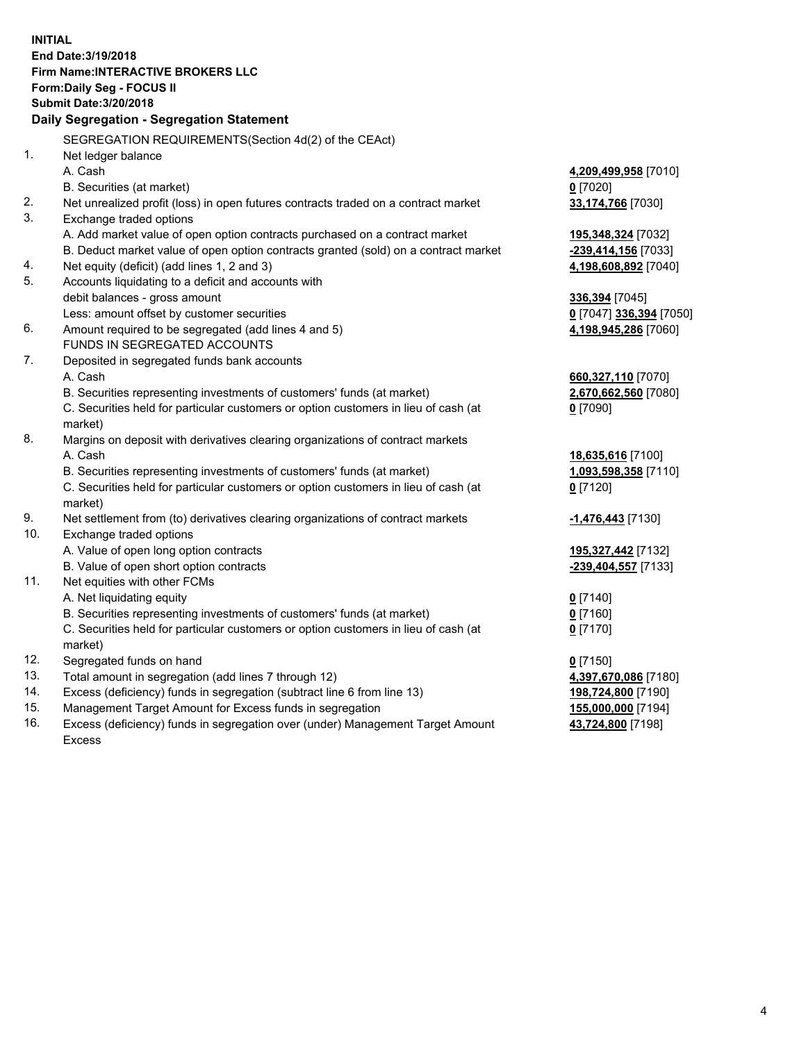**INITIAL End Date:3/19/2018 Firm Name:INTERACTIVE BROKERS LLC Form:Daily Seg - FOCUS II Submit Date:3/20/2018 Daily Segregation - Segregation Statement** SEGREGATION REQUIREMENTS(Section 4d(2) of the CEAct) 1. Net ledger balance A. Cash **4,209,499,958** [7010] B. Securities (at market) **0** [7020] 2. Net unrealized profit (loss) in open futures contracts traded on a contract market **33,174,766** [7030] 3. Exchange traded options A. Add market value of open option contracts purchased on a contract market **195,348,324** [7032] B. Deduct market value of open option contracts granted (sold) on a contract market **-239,414,156** [7033] 4. Net equity (deficit) (add lines 1, 2 and 3) **4,198,608,892** [7040] 5. Accounts liquidating to a deficit and accounts with debit balances - gross amount **336,394** [7045] Less: amount offset by customer securities **0** [7047] **336,394** [7050] 6. Amount required to be segregated (add lines 4 and 5) **4,198,945,286** [7060] FUNDS IN SEGREGATED ACCOUNTS 7. Deposited in segregated funds bank accounts A. Cash **660,327,110** [7070] B. Securities representing investments of customers' funds (at market) **2,670,662,560** [7080] C. Securities held for particular customers or option customers in lieu of cash (at market) **0** [7090] 8. Margins on deposit with derivatives clearing organizations of contract markets A. Cash **18,635,616** [7100] B. Securities representing investments of customers' funds (at market) **1,093,598,358** [7110] C. Securities held for particular customers or option customers in lieu of cash (at market) **0** [7120] 9. Net settlement from (to) derivatives clearing organizations of contract markets **-1,476,443** [7130] 10. Exchange traded options A. Value of open long option contracts **195,327,442** [7132] B. Value of open short option contracts **-239,404,557** [7133] 11. Net equities with other FCMs A. Net liquidating equity **0** [7140] B. Securities representing investments of customers' funds (at market) **0** [7160] C. Securities held for particular customers or option customers in lieu of cash (at market) **0** [7170] 12. Segregated funds on hand **0** [7150] 13. Total amount in segregation (add lines 7 through 12) **4,397,670,086** [7180] 14. Excess (deficiency) funds in segregation (subtract line 6 from line 13) **198,724,800** [7190] 15. Management Target Amount for Excess funds in segregation **155,000,000** [7194]

16. Excess (deficiency) funds in segregation over (under) Management Target Amount Excess

**43,724,800** [7198]